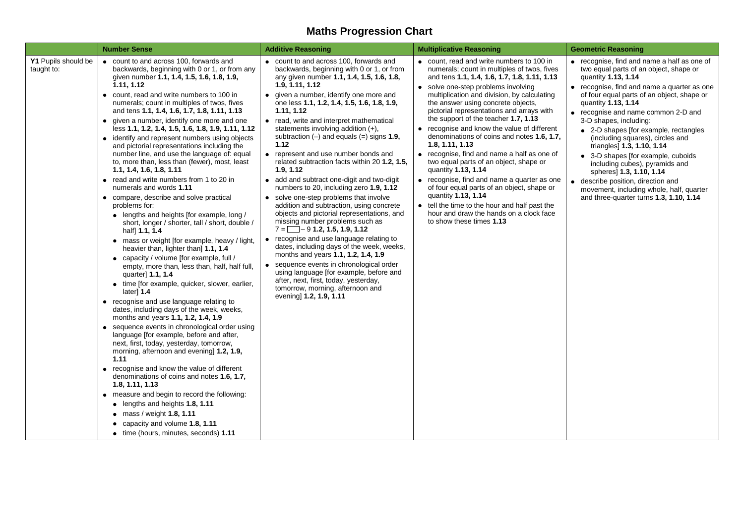## **Maths Progression Chart**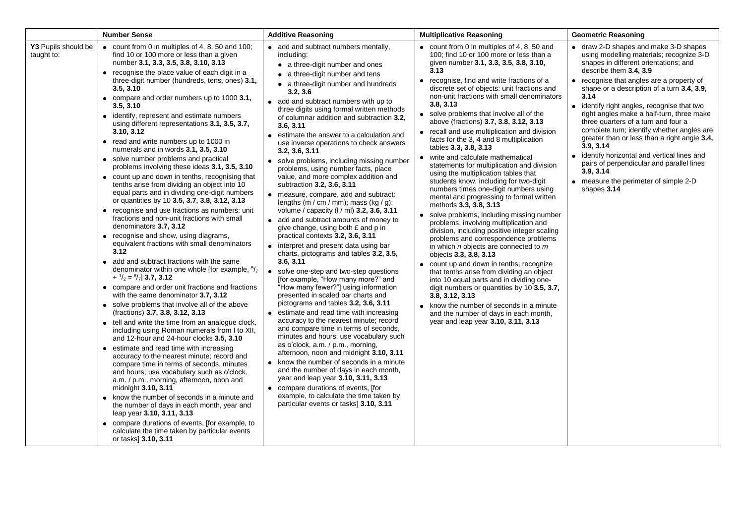|                                   | <b>Number Sense</b>                                                                                                                                                                                                                                                                                                                                                                                                                                                                                                                                                                                                                                                                                                                                                                                                                                                                                                                                                                                                                                                                                                                                                                                                                                                                                                                                                                                                                                                                                                                                                                                                                                                                                                                                                                                                                                                                                                                                                                                                                                             | <b>Additive Reasoning</b>                                                                                                                                                                                                                                                                                                                                                                                                                                                                                                                                                                                                                                                                                                                                                                                                                                                                                                                                                                                                                                                                                                                                                                                                                                                                                                                                                                                                                                                                                                                                                                                                                                                       | <b>Multiplicative Reasoning</b>                                                                                                                                                                                                                                                                                                                                                                                                                                                                                                                                                                                                                                                                                                                                                                                                                                                                                                                                                                                                                                                                                                                                                                                                                                                                                                                                                                     | <b>Geometric Reasoning</b>                                                                                                                                                                                                                                                                                                                                                                                                                                                                                                                                                                                                                                              |
|-----------------------------------|-----------------------------------------------------------------------------------------------------------------------------------------------------------------------------------------------------------------------------------------------------------------------------------------------------------------------------------------------------------------------------------------------------------------------------------------------------------------------------------------------------------------------------------------------------------------------------------------------------------------------------------------------------------------------------------------------------------------------------------------------------------------------------------------------------------------------------------------------------------------------------------------------------------------------------------------------------------------------------------------------------------------------------------------------------------------------------------------------------------------------------------------------------------------------------------------------------------------------------------------------------------------------------------------------------------------------------------------------------------------------------------------------------------------------------------------------------------------------------------------------------------------------------------------------------------------------------------------------------------------------------------------------------------------------------------------------------------------------------------------------------------------------------------------------------------------------------------------------------------------------------------------------------------------------------------------------------------------------------------------------------------------------------------------------------------------|---------------------------------------------------------------------------------------------------------------------------------------------------------------------------------------------------------------------------------------------------------------------------------------------------------------------------------------------------------------------------------------------------------------------------------------------------------------------------------------------------------------------------------------------------------------------------------------------------------------------------------------------------------------------------------------------------------------------------------------------------------------------------------------------------------------------------------------------------------------------------------------------------------------------------------------------------------------------------------------------------------------------------------------------------------------------------------------------------------------------------------------------------------------------------------------------------------------------------------------------------------------------------------------------------------------------------------------------------------------------------------------------------------------------------------------------------------------------------------------------------------------------------------------------------------------------------------------------------------------------------------------------------------------------------------|-----------------------------------------------------------------------------------------------------------------------------------------------------------------------------------------------------------------------------------------------------------------------------------------------------------------------------------------------------------------------------------------------------------------------------------------------------------------------------------------------------------------------------------------------------------------------------------------------------------------------------------------------------------------------------------------------------------------------------------------------------------------------------------------------------------------------------------------------------------------------------------------------------------------------------------------------------------------------------------------------------------------------------------------------------------------------------------------------------------------------------------------------------------------------------------------------------------------------------------------------------------------------------------------------------------------------------------------------------------------------------------------------------|-------------------------------------------------------------------------------------------------------------------------------------------------------------------------------------------------------------------------------------------------------------------------------------------------------------------------------------------------------------------------------------------------------------------------------------------------------------------------------------------------------------------------------------------------------------------------------------------------------------------------------------------------------------------------|
| Y3 Pupils should be<br>taught to: | • count from 0 in multiples of 4, 8, 50 and 100;<br>find 10 or 100 more or less than a given<br>number 3.1, 3.3, 3.5, 3.8, 3.10, 3.13<br>• recognise the place value of each digit in a<br>three-digit number (hundreds, tens, ones) 3.1,<br>3.5, 3.10<br>• compare and order numbers up to 1000 3.1,<br>3.5, 3.10<br>• identify, represent and estimate numbers<br>using different representations 3.1, 3.5, 3.7,<br>3.10, 3.12<br>• read and write numbers up to 1000 in<br>numerals and in words 3.1, 3.5, 3.10<br>• solve number problems and practical<br>problems involving these ideas 3.1, 3.5, 3.10<br>• count up and down in tenths, recognising that<br>tenths arise from dividing an object into 10<br>equal parts and in dividing one-digit numbers<br>or quantities by 10 3.5, 3.7, 3.8, 3.12, 3.13<br>• recognise and use fractions as numbers: unit<br>fractions and non-unit fractions with small<br>denominators 3.7, 3.12<br>• recognise and show, using diagrams,<br>equivalent fractions with small denominators<br>3.12<br>add and subtract fractions with the same<br>$\bullet$<br>denominator within one whole [for example, $5/7$<br>$+$ $\frac{1}{2}$ = $\frac{6}{7}$ ] 3.7, 3.12<br>• compare and order unit fractions and fractions<br>with the same denominator 3.7, 3.12<br>• solve problems that involve all of the above<br>(fractions) 3.7, 3.8, 3.12, 3.13<br>• tell and write the time from an analogue clock,<br>including using Roman numerals from I to XII,<br>and 12-hour and 24-hour clocks 3.5, 3.10<br>• estimate and read time with increasing<br>accuracy to the nearest minute; record and<br>compare time in terms of seconds, minutes<br>and hours; use vocabulary such as o'clock,<br>a.m. / p.m., morning, afternoon, noon and<br>midnight 3.10, 3.11<br>• know the number of seconds in a minute and<br>the number of days in each month, year and<br>leap year 3.10, 3.11, 3.13<br>• compare durations of events, [for example, to<br>calculate the time taken by particular events<br>or tasks] 3.10, 3.11 | • add and subtract numbers mentally,<br>including:<br>• a three-digit number and ones<br>• a three-digit number and tens<br>• a three-digit number and hundreds<br>3.2, 3.6<br>• add and subtract numbers with up to<br>three digits using formal written methods<br>of columnar addition and subtraction 3.2,<br>3.6, 3.11<br>• estimate the answer to a calculation and<br>use inverse operations to check answers<br>3.2, 3.6, 3.11<br>• solve problems, including missing number<br>problems, using number facts, place<br>value, and more complex addition and<br>subtraction 3.2, 3.6, 3.11<br>• measure, compare, add and subtract:<br>lengths (m / cm / mm); mass (kg / g);<br>volume / capacity (I / ml) 3.2, 3.6, 3.11<br>• add and subtract amounts of money to<br>give change, using both £ and p in<br>practical contexts 3.2, 3.6, 3.11<br>• interpret and present data using bar<br>charts, pictograms and tables 3.2, 3.5,<br>3.6, 3.11<br>• solve one-step and two-step questions<br>[for example, "How many more?" and<br>"How many fewer?"] using information<br>presented in scaled bar charts and<br>pictograms and tables 3.2, 3.6, 3.11<br>• estimate and read time with increasing<br>accuracy to the nearest minute; record<br>and compare time in terms of seconds,<br>minutes and hours; use vocabulary such<br>as o'clock, a.m. / p.m., morning,<br>afternoon, noon and midnight 3.10, 3.11<br>• know the number of seconds in a minute<br>and the number of days in each month,<br>year and leap year 3.10, 3.11, 3.13<br>• compare durations of events, [for<br>example, to calculate the time taken by<br>particular events or tasks] 3.10, 3.11 | • count from 0 in multiples of 4, 8, 50 and<br>100; find 10 or 100 more or less than a<br>given number 3.1, 3.3, 3.5, 3.8, 3.10,<br>3.13<br>• recognise, find and write fractions of a<br>discrete set of objects: unit fractions and<br>non-unit fractions with small denominators<br>3.8, 3.13<br>• solve problems that involve all of the<br>above (fractions) 3.7, 3.8, 3.12, 3.13<br>• recall and use multiplication and division<br>facts for the 3, 4 and 8 multiplication<br>tables 3.3, 3.8, 3.13<br>• write and calculate mathematical<br>statements for multiplication and division<br>using the multiplication tables that<br>students know, including for two-digit<br>numbers times one-digit numbers using<br>mental and progressing to formal written<br>methods 3.3, 3.8, 3.13<br>• solve problems, including missing number<br>problems, involving multiplication and<br>division, including positive integer scaling<br>problems and correspondence problems<br>in which <i>n</i> objects are connected to <i>m</i><br>objects 3.3, 3.8, 3.13<br>• count up and down in tenths; recognize<br>that tenths arise from dividing an object<br>into 10 equal parts and in dividing one-<br>digit numbers or quantities by 10 3.5, 3.7,<br>3.8, 3.12, 3.13<br>• know the number of seconds in a minute<br>and the number of days in each month,<br>year and leap year 3.10, 3.11, 3.13 | • draw 2-D shapes and make 3-D shapes<br>using modelling materials; recognize 3-D<br>shapes in different orientations; and<br>describe them 3.4, 3.9<br>• recognise that angles are a property of<br>shape or a description of a turn 3.4, 3.9,<br>3.14<br>• identify right angles, recognise that two<br>right angles make a half-turn, three make<br>three quarters of a turn and four a<br>complete turn; identify whether angles are<br>greater than or less than a right angle 3.4.<br>3.9, 3.14<br>· identify horizontal and vertical lines and<br>pairs of perpendicular and parallel lines<br>3.9, 3.14<br>• measure the perimeter of simple 2-D<br>shapes 3.14 |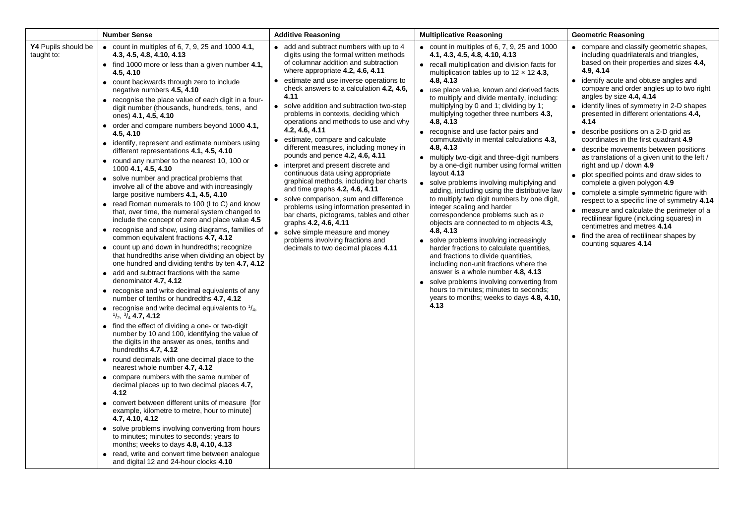|                                   | <b>Number Sense</b>                                                                                                                                                                                                                                                                                                                                                                                                                                                                                                                                                                                                                                                                                                                                                                                                                                                                                                                                                                                                                                                                                                                                                                                                                                                                                                                                                                                                                                                                                                                                                                                                                                                                                                                                                                                                                                                                                                                                                                                                                                                                                                                                                              | <b>Additive Reasoning</b>                                                                                                                                                                                                                                                                                                                                                                                                                                                                                                                                                                                                                                                                                                                                                                                                                                                                                                                                           | <b>Multiplicative Reasoning</b>                                                                                                                                                                                                                                                                                                                                                                                                                                                                                                                                                                                                                                                                                                                                                                                                                                                                                                                                                                                                                                                                                                                                                                                                                             | <b>Geometric Reasoning</b>                                                                                                                                                                                                                                                                                                                                                                                                                                                                                                                                                                                                                                                                                                                                                                                                                                                                                                                                             |
|-----------------------------------|----------------------------------------------------------------------------------------------------------------------------------------------------------------------------------------------------------------------------------------------------------------------------------------------------------------------------------------------------------------------------------------------------------------------------------------------------------------------------------------------------------------------------------------------------------------------------------------------------------------------------------------------------------------------------------------------------------------------------------------------------------------------------------------------------------------------------------------------------------------------------------------------------------------------------------------------------------------------------------------------------------------------------------------------------------------------------------------------------------------------------------------------------------------------------------------------------------------------------------------------------------------------------------------------------------------------------------------------------------------------------------------------------------------------------------------------------------------------------------------------------------------------------------------------------------------------------------------------------------------------------------------------------------------------------------------------------------------------------------------------------------------------------------------------------------------------------------------------------------------------------------------------------------------------------------------------------------------------------------------------------------------------------------------------------------------------------------------------------------------------------------------------------------------------------------|---------------------------------------------------------------------------------------------------------------------------------------------------------------------------------------------------------------------------------------------------------------------------------------------------------------------------------------------------------------------------------------------------------------------------------------------------------------------------------------------------------------------------------------------------------------------------------------------------------------------------------------------------------------------------------------------------------------------------------------------------------------------------------------------------------------------------------------------------------------------------------------------------------------------------------------------------------------------|-------------------------------------------------------------------------------------------------------------------------------------------------------------------------------------------------------------------------------------------------------------------------------------------------------------------------------------------------------------------------------------------------------------------------------------------------------------------------------------------------------------------------------------------------------------------------------------------------------------------------------------------------------------------------------------------------------------------------------------------------------------------------------------------------------------------------------------------------------------------------------------------------------------------------------------------------------------------------------------------------------------------------------------------------------------------------------------------------------------------------------------------------------------------------------------------------------------------------------------------------------------|------------------------------------------------------------------------------------------------------------------------------------------------------------------------------------------------------------------------------------------------------------------------------------------------------------------------------------------------------------------------------------------------------------------------------------------------------------------------------------------------------------------------------------------------------------------------------------------------------------------------------------------------------------------------------------------------------------------------------------------------------------------------------------------------------------------------------------------------------------------------------------------------------------------------------------------------------------------------|
| Y4 Pupils should be<br>taught to: | • count in multiples of 6, 7, 9, 25 and 1000 $4.1$ ,<br>4.3, 4.5, 4.8, 4.10, 4.13<br>$\bullet$ find 1000 more or less than a given number 4.1,<br>4.5, 4.10<br>• count backwards through zero to include<br>negative numbers 4.5, 4.10<br>• recognise the place value of each digit in a four-<br>digit number (thousands, hundreds, tens, and<br>ones) 4.1, 4.5, 4.10<br>order and compare numbers beyond 1000 4.1,<br>4.5, 4.10<br>identify, represent and estimate numbers using<br>different representations 4.1, 4.5, 4.10<br>round any number to the nearest 10, 100 or<br>1000 4.1, 4.5, 4.10<br>solve number and practical problems that<br>involve all of the above and with increasingly<br>large positive numbers 4.1, 4.5, 4.10<br>• read Roman numerals to 100 (I to C) and know<br>that, over time, the numeral system changed to<br>include the concept of zero and place value 4.5<br>• recognise and show, using diagrams, families of<br>common equivalent fractions 4.7, 4.12<br>• count up and down in hundredths; recognize<br>that hundredths arise when dividing an object by<br>one hundred and dividing tenths by ten 4.7, 4.12<br>• add and subtract fractions with the same<br>denominator 4.7, 4.12<br>• recognise and write decimal equivalents of any<br>number of tenths or hundredths 4.7, 4.12<br>• recognise and write decimal equivalents to $\frac{1}{4}$ ,<br>$\frac{1}{2}$ , $\frac{3}{4}$ , 4.7, 4.12<br>• find the effect of dividing a one- or two-digit<br>number by 10 and 100, identifying the value of<br>the digits in the answer as ones, tenths and<br>hundredths 4.7, 4.12<br>• round decimals with one decimal place to the<br>nearest whole number 4.7, 4.12<br>• compare numbers with the same number of<br>decimal places up to two decimal places 4.7,<br>4.12<br>• convert between different units of measure [for<br>example, kilometre to metre, hour to minute]<br>4.7, 4.10, 4.12<br>• solve problems involving converting from hours<br>to minutes; minutes to seconds; years to<br>months; weeks to days 4.8, 4.10, 4.13<br>read, write and convert time between analogue<br>and digital 12 and 24-hour clocks 4.10 | • add and subtract numbers with up to 4<br>digits using the formal written methods<br>of columnar addition and subtraction<br>where appropriate 4.2, 4.6, 4.11<br>• estimate and use inverse operations to<br>check answers to a calculation 4.2, 4.6,<br>4.11<br>• solve addition and subtraction two-step<br>problems in contexts, deciding which<br>operations and methods to use and why<br>4.2, 4.6, 4.11<br>• estimate, compare and calculate<br>different measures, including money in<br>pounds and pence 4.2, 4.6, 4.11<br>• interpret and present discrete and<br>continuous data using appropriate<br>graphical methods, including bar charts<br>and time graphs 4.2, 4.6, 4.11<br>• solve comparison, sum and difference<br>problems using information presented in<br>bar charts, pictograms, tables and other<br>graphs 4.2, 4.6, 4.11<br>• solve simple measure and money<br>problems involving fractions and<br>decimals to two decimal places 4.11 | $\bullet$ count in multiples of 6, 7, 9, 25 and 1000<br>4.1, 4.3, 4.5, 4.8, 4.10, 4.13<br>• recall multiplication and division facts for<br>multiplication tables up to $12 \times 12$ 4.3,<br>4.8, 4.13<br>• use place value, known and derived facts<br>to multiply and divide mentally, including:<br>multiplying by 0 and 1; dividing by 1;<br>multiplying together three numbers 4.3,<br>4.8, 4.13<br>• recognise and use factor pairs and<br>commutativity in mental calculations 4.3,<br>4.8, 4.13<br>• multiply two-digit and three-digit numbers<br>by a one-digit number using formal written<br>layout $4.13$<br>• solve problems involving multiplying and<br>adding, including using the distributive law<br>to multiply two digit numbers by one digit,<br>integer scaling and harder<br>correspondence problems such as n<br>objects are connected to m objects 4.3,<br>4.8, 4.13<br>• solve problems involving increasingly<br>harder fractions to calculate quantities,<br>and fractions to divide quantities,<br>including non-unit fractions where the<br>answer is a whole number 4.8, 4.13<br>• solve problems involving converting from<br>hours to minutes; minutes to seconds;<br>years to months; weeks to days 4.8, 4.10,<br>4.13 | • compare and classify geometric shapes,<br>including quadrilaterals and triangles,<br>based on their properties and sizes 4.4,<br>4.9, 4.14<br>• identify acute and obtuse angles and<br>compare and order angles up to two right<br>angles by size 4.4, 4.14<br>• identify lines of symmetry in 2-D shapes<br>presented in different orientations 4.4,<br>4.14<br>describe positions on a 2-D grid as<br>$\bullet$<br>coordinates in the first quadrant 4.9<br>describe movements between positions<br>$\bullet$<br>as translations of a given unit to the left /<br>right and up / down 4.9<br>• plot specified points and draw sides to<br>complete a given polygon 4.9<br>• complete a simple symmetric figure with<br>respect to a specific line of symmetry 4.14<br>• measure and calculate the perimeter of a<br>rectilinear figure (including squares) in<br>centimetres and metres 4.14<br>• find the area of rectilinear shapes by<br>counting squares 4.14 |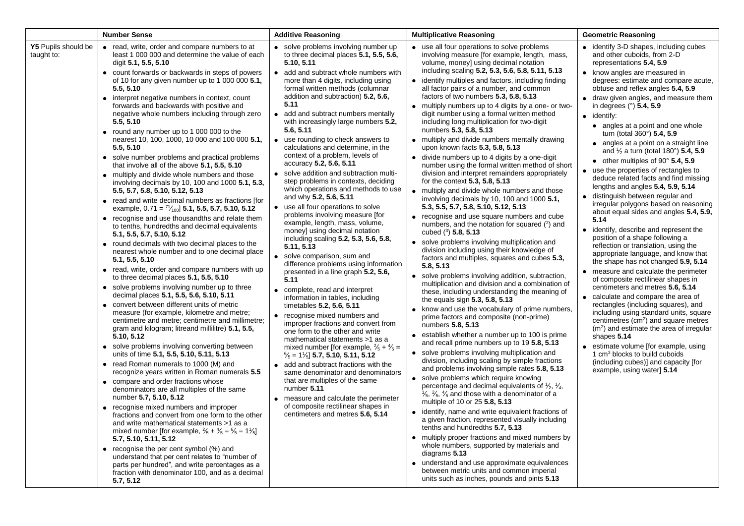|                                   | <b>Number Sense</b>                                                                                                                                                                                                                                                                                                                                                                                                                                                                                                                                                                                                                                                                                                                                                                                                                                                                                                                                                                                                                                                                                                                                                                                                                                                                                                                                                                                                                                                                                                                                                                                                                                                                                                                                                                                                                                                                                                                                                                                                                                                                                                                                                                                                                                                                                                                            | <b>Additive Reasoning</b>                                                                                                                                                                                                                                                                                                                                                                                                                                                                                                                                                                                                                                                                                                                                                                                                                                                                                                                                                                                                                                                                                                                                                                                                                                                                                                                                                                                                                                                                                                                                                                                                          | <b>Multiplicative Reasoning</b>                                                                                                                                                                                                                                                                                                                                                                                                                                                                                                                                                                                                                                                                                                                                                                                                                                                                                                                                                                                                                                                                                                                                                                                                                                                                                                                                                                                                                                                                                                                                                                                                                                                                                                                                                                                                                                                                                                                                                                                                                                                                                                                                                                                                                                                                                                                                                                                                                                  | <b>Geometric Reasoning</b>                                                                                                                                                                                                                                                                                                                                                                                                                                                                                                                                                                                                                                                                                                                                                                                                                                                                                                                                                                                                                                                                                                                                                                                                                                                                                                                                                                                                                                                                            |
|-----------------------------------|------------------------------------------------------------------------------------------------------------------------------------------------------------------------------------------------------------------------------------------------------------------------------------------------------------------------------------------------------------------------------------------------------------------------------------------------------------------------------------------------------------------------------------------------------------------------------------------------------------------------------------------------------------------------------------------------------------------------------------------------------------------------------------------------------------------------------------------------------------------------------------------------------------------------------------------------------------------------------------------------------------------------------------------------------------------------------------------------------------------------------------------------------------------------------------------------------------------------------------------------------------------------------------------------------------------------------------------------------------------------------------------------------------------------------------------------------------------------------------------------------------------------------------------------------------------------------------------------------------------------------------------------------------------------------------------------------------------------------------------------------------------------------------------------------------------------------------------------------------------------------------------------------------------------------------------------------------------------------------------------------------------------------------------------------------------------------------------------------------------------------------------------------------------------------------------------------------------------------------------------------------------------------------------------------------------------------------------------|------------------------------------------------------------------------------------------------------------------------------------------------------------------------------------------------------------------------------------------------------------------------------------------------------------------------------------------------------------------------------------------------------------------------------------------------------------------------------------------------------------------------------------------------------------------------------------------------------------------------------------------------------------------------------------------------------------------------------------------------------------------------------------------------------------------------------------------------------------------------------------------------------------------------------------------------------------------------------------------------------------------------------------------------------------------------------------------------------------------------------------------------------------------------------------------------------------------------------------------------------------------------------------------------------------------------------------------------------------------------------------------------------------------------------------------------------------------------------------------------------------------------------------------------------------------------------------------------------------------------------------|------------------------------------------------------------------------------------------------------------------------------------------------------------------------------------------------------------------------------------------------------------------------------------------------------------------------------------------------------------------------------------------------------------------------------------------------------------------------------------------------------------------------------------------------------------------------------------------------------------------------------------------------------------------------------------------------------------------------------------------------------------------------------------------------------------------------------------------------------------------------------------------------------------------------------------------------------------------------------------------------------------------------------------------------------------------------------------------------------------------------------------------------------------------------------------------------------------------------------------------------------------------------------------------------------------------------------------------------------------------------------------------------------------------------------------------------------------------------------------------------------------------------------------------------------------------------------------------------------------------------------------------------------------------------------------------------------------------------------------------------------------------------------------------------------------------------------------------------------------------------------------------------------------------------------------------------------------------------------------------------------------------------------------------------------------------------------------------------------------------------------------------------------------------------------------------------------------------------------------------------------------------------------------------------------------------------------------------------------------------------------------------------------------------------------------------------------------------|-------------------------------------------------------------------------------------------------------------------------------------------------------------------------------------------------------------------------------------------------------------------------------------------------------------------------------------------------------------------------------------------------------------------------------------------------------------------------------------------------------------------------------------------------------------------------------------------------------------------------------------------------------------------------------------------------------------------------------------------------------------------------------------------------------------------------------------------------------------------------------------------------------------------------------------------------------------------------------------------------------------------------------------------------------------------------------------------------------------------------------------------------------------------------------------------------------------------------------------------------------------------------------------------------------------------------------------------------------------------------------------------------------------------------------------------------------------------------------------------------------|
| Y5 Pupils should be<br>taught to: | • read, write, order and compare numbers to at<br>least 1 000 000 and determine the value of each<br>digit 5.1, 5.5, 5.10<br>• count forwards or backwards in steps of powers<br>of 10 for any given number up to 1 000 000 5.1,<br>5.5, 5.10<br>• interpret negative numbers in context, count<br>forwards and backwards with positive and<br>negative whole numbers including through zero<br>5.5, 5.10<br>• round any number up to 1 000 000 to the<br>nearest 10, 100, 1000, 10 000 and 100 000 5.1,<br>5.5, 5.10<br>• solve number problems and practical problems<br>that involve all of the above 5.1, 5.5, 5.10<br>• multiply and divide whole numbers and those<br>involving decimals by 10, 100 and 1000 5.1, 5.3,<br>5.5, 5.7, 5.8, 5.10, 5.12, 5.13<br>• read and write decimal numbers as fractions [for<br>example, $0.71 = \frac{71}{100}$ 5.1, 5.5, 5.7, 5.10, 5.12<br>• recognise and use thousandths and relate them<br>to tenths, hundredths and decimal equivalents<br>5.1, 5.5, 5.7, 5.10, 5.12<br>• round decimals with two decimal places to the<br>nearest whole number and to one decimal place<br>5.1, 5.5, 5.10<br>• read, write, order and compare numbers with up<br>to three decimal places 5.1, 5.5, 5.10<br>• solve problems involving number up to three<br>decimal places 5.1, 5.5, 5.6, 5.10, 5.11<br>• convert between different units of metric<br>measure (for example, kilometre and metre;<br>centimetre and metre; centimetre and millimetre;<br>gram and kilogram; litreand millilitre) 5.1, 5.5,<br>5.10, 5.12<br>• solve problems involving converting between<br>units of time 5.1, 5.5, 5.10, 5.11, 5.13<br>• read Roman numerals to 1000 (M) and<br>recognize years written in Roman numerals 5.5<br>• compare and order fractions whose<br>denominators are all multiples of the same<br>number 5.7, 5.10, 5.12<br>• recognise mixed numbers and improper<br>fractions and convert from one form to the other<br>and write mathematical statements >1 as a<br>mixed number [for example, $\frac{2}{5} + \frac{4}{5} = \frac{6}{5} = 1\frac{1}{5}$ ]<br>5.7, 5.10, 5.11, 5.12<br>• recognise the per cent symbol $(\%)$ and<br>understand that per cent relates to "number of<br>parts per hundred", and write percentages as a<br>fraction with denominator 100, and as a decimal<br>5.7, 5.12 | • solve problems involving number up<br>to three decimal places 5.1, 5.5, 5.6,<br>5.10, 5.11<br>• add and subtract whole numbers with<br>more than 4 digits, including using<br>formal written methods (columnar<br>addition and subtraction) 5.2, 5.6,<br>5.11<br>• add and subtract numbers mentally<br>with increasingly large numbers 5.2,<br>5.6, 5.11<br>• use rounding to check answers to<br>calculations and determine, in the<br>context of a problem, levels of<br>accuracy 5.2, 5.6, 5.11<br>solve addition and subtraction multi-<br>$\bullet$<br>step problems in contexts, deciding<br>which operations and methods to use<br>and why 5.2, 5.6, 5.11<br>• use all four operations to solve<br>problems involving measure [for<br>example, length, mass, volume,<br>money] using decimal notation<br>including scaling 5.2, 5.3, 5.6, 5.8,<br>5.11, 5.13<br>• solve comparison, sum and<br>difference problems using information<br>presented in a line graph 5.2, 5.6,<br>5.11<br>complete, read and interpret<br>$\bullet$<br>information in tables, including<br>timetables 5.2, 5.6, 5.11<br>• recognise mixed numbers and<br>improper fractions and convert from<br>one form to the other and write<br>mathematical statements >1 as a<br>mixed number [for example, $\frac{2}{5} + \frac{4}{5} =$<br>$\frac{6}{5}$ = 1 $\frac{1}{6}$ ] 5.7, 5.10, 5.11, 5.12<br>• add and subtract fractions with the<br>same denominator and denominators<br>that are multiples of the same<br>number 5.11<br>• measure and calculate the perimeter<br>of composite rectilinear shapes in<br>centimeters and metres 5.6, 5.14 | • use all four operations to solve problems<br>involving measure [for example, length, mass,<br>volume, money] using decimal notation<br>including scaling 5.2, 5.3, 5.6, 5.8, 5.11, 5.13<br>identify multiples and factors, including finding<br>all factor pairs of a number, and common<br>factors of two numbers 5.3, 5.8, 5.13<br>• multiply numbers up to 4 digits by a one- or two-<br>digit number using a formal written method<br>including long multiplication for two-digit<br>numbers 5.3, 5.8, 5.13<br>• multiply and divide numbers mentally drawing<br>upon known facts 5.3, 5.8, 5.13<br>divide numbers up to 4 digits by a one-digit<br>number using the formal written method of short<br>division and interpret remainders appropriately<br>for the context 5.3, 5.8, 5.13<br>• multiply and divide whole numbers and those<br>involving decimals by 10, 100 and 1000 5.1,<br>5.3, 5.5, 5.7, 5.8, 5.10, 5.12, 5.13<br>• recognise and use square numbers and cube<br>numbers, and the notation for squared $(2)$ and<br>cubed $(^{3})$ 5.8, 5.13<br>• solve problems involving multiplication and<br>division including using their knowledge of<br>factors and multiples, squares and cubes 5.3,<br>5.8, 5.13<br>solve problems involving addition, subtraction,<br>multiplication and division and a combination of<br>these, including understanding the meaning of<br>the equals sign 5.3, 5.8, 5.13<br>• know and use the vocabulary of prime numbers,<br>prime factors and composite (non-prime)<br>numbers 5.8, 5.13<br>• establish whether a number up to 100 is prime<br>and recall prime numbers up to 19 5.8, 5.13<br>• solve problems involving multiplication and<br>division, including scaling by simple fractions<br>and problems involving simple rates 5.8, 5.13<br>• solve problems which require knowing<br>percentage and decimal equivalents of $\frac{1}{2}$ , $\frac{1}{4}$ ,<br>$\frac{1}{5}$ , $\frac{2}{5}$ , $\frac{4}{5}$ and those with a denominator of a<br>multiple of 10 or 25 5.8, 5.13<br>identify, name and write equivalent fractions of<br>$\bullet$<br>a given fraction, represented visually including<br>tenths and hundredths 5.7, 5.13<br>multiply proper fractions and mixed numbers by<br>whole numbers, supported by materials and<br>diagrams 5.13<br>understand and use approximate equivalences<br>between metric units and common imperial<br>units such as inches, pounds and pints 5.13 | • identify 3-D shapes, including cubes<br>and other cuboids, from 2-D<br>representations 5.4, 5.9<br>• know angles are measured in<br>degrees: estimate and compare acute,<br>obtuse and reflex angles 5.4, 5.9<br>• draw given angles, and measure them<br>in degrees (°) 5.4, 5.9<br>$\bullet$ identify:<br>• angles at a point and one whole<br>turn (total 360°) 5.4, 5.9<br>• angles at a point on a straight line<br>and $\frac{1}{2}$ a turn (total 180°) 5.4, 5.9<br>$\bullet$ other multiples of 90 $\degree$ 5.4, 5.9<br>• use the properties of rectangles to<br>deduce related facts and find missing<br>lengths and angles 5.4, 5.9, 5.14<br>· distinguish between regular and<br>irregular polygons based on reasoning<br>about equal sides and angles 5.4, 5.9,<br>5.14<br>• identify, describe and represent the<br>position of a shape following a<br>reflection or translation, using the<br>appropriate language, and know that<br>the shape has not changed 5.9, 5.14<br>• measure and calculate the perimeter<br>of composite rectilinear shapes in<br>centimeters and metres 5.6, 5.14<br>• calculate and compare the area of<br>rectangles (including squares), and<br>including using standard units, square<br>centimetres $(cm2)$ and square metres<br>$(m2)$ and estimate the area of irregular<br>shapes 5.14<br>• estimate volume [for example, using<br>1 cm <sup>3</sup> blocks to build cuboids<br>(including cubes)] and capacity [for<br>example, using water] 5.14 |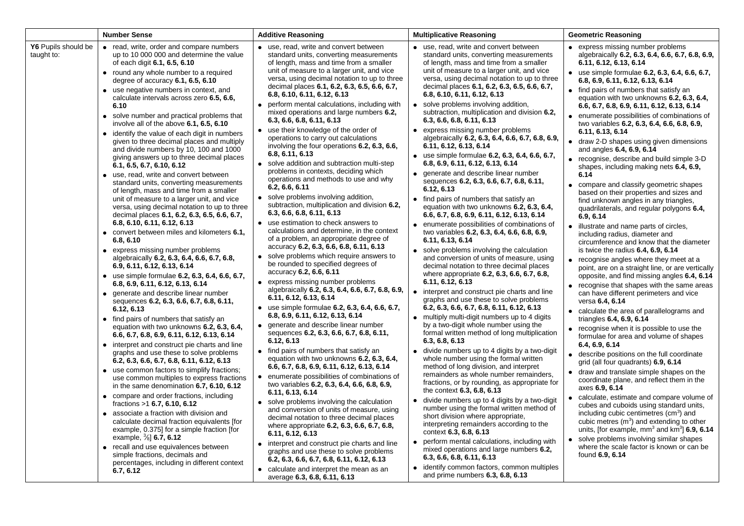|                                   | <b>Number Sense</b>                                                                                                                                                                                                                                                                                                                                                                                                                                                                                                                                                                                                                                                                                                                                                                                                                                                                                                                                                                                                                                                                                                                                                                                                                                                                                                                                                                                                                                                                                                                                                                                                                                                                                                                                                                                                                                                                                                                                                                                                                                                                                                           | <b>Additive Reasoning</b>                                                                                                                                                                                                                                                                                                                                                                                                                                                                                                                                                                                                                                                                                                                                                                                                                                                                                                                                                                                                                                                                                                                                                                                                                                                                                                                                                                                                                                                                                                                                                                                                                                                                                                                                                                                                                                                                                                                                                                                                                                                                                                                           | <b>Multiplicative Reasoning</b>                                                                                                                                                                                                                                                                                                                                                                                                                                                                                                                                                                                                                                                                                                                                                                                                                                                                                                                                                                                                                                                                                                                                                                                                                                                                                                                                                                                                                                                                                                                                                                                                                                                                                                                                                                                                                                                                                                                                                                                                                                                                                                                                                                       | <b>Geometric Reasoning</b>                                                                                                                                                                                                                                                                                                                                                                                                                                                                                                                                                                                                                                                                                                                                                                                                                                                                                                                                                                                                                                                                                                                                                                                                                                                                                                                                                                                                                                                                                                                                                                                                                                                                                                                                                                                                                                                                                                                                                                                         |
|-----------------------------------|-------------------------------------------------------------------------------------------------------------------------------------------------------------------------------------------------------------------------------------------------------------------------------------------------------------------------------------------------------------------------------------------------------------------------------------------------------------------------------------------------------------------------------------------------------------------------------------------------------------------------------------------------------------------------------------------------------------------------------------------------------------------------------------------------------------------------------------------------------------------------------------------------------------------------------------------------------------------------------------------------------------------------------------------------------------------------------------------------------------------------------------------------------------------------------------------------------------------------------------------------------------------------------------------------------------------------------------------------------------------------------------------------------------------------------------------------------------------------------------------------------------------------------------------------------------------------------------------------------------------------------------------------------------------------------------------------------------------------------------------------------------------------------------------------------------------------------------------------------------------------------------------------------------------------------------------------------------------------------------------------------------------------------------------------------------------------------------------------------------------------------|-----------------------------------------------------------------------------------------------------------------------------------------------------------------------------------------------------------------------------------------------------------------------------------------------------------------------------------------------------------------------------------------------------------------------------------------------------------------------------------------------------------------------------------------------------------------------------------------------------------------------------------------------------------------------------------------------------------------------------------------------------------------------------------------------------------------------------------------------------------------------------------------------------------------------------------------------------------------------------------------------------------------------------------------------------------------------------------------------------------------------------------------------------------------------------------------------------------------------------------------------------------------------------------------------------------------------------------------------------------------------------------------------------------------------------------------------------------------------------------------------------------------------------------------------------------------------------------------------------------------------------------------------------------------------------------------------------------------------------------------------------------------------------------------------------------------------------------------------------------------------------------------------------------------------------------------------------------------------------------------------------------------------------------------------------------------------------------------------------------------------------------------------------|-------------------------------------------------------------------------------------------------------------------------------------------------------------------------------------------------------------------------------------------------------------------------------------------------------------------------------------------------------------------------------------------------------------------------------------------------------------------------------------------------------------------------------------------------------------------------------------------------------------------------------------------------------------------------------------------------------------------------------------------------------------------------------------------------------------------------------------------------------------------------------------------------------------------------------------------------------------------------------------------------------------------------------------------------------------------------------------------------------------------------------------------------------------------------------------------------------------------------------------------------------------------------------------------------------------------------------------------------------------------------------------------------------------------------------------------------------------------------------------------------------------------------------------------------------------------------------------------------------------------------------------------------------------------------------------------------------------------------------------------------------------------------------------------------------------------------------------------------------------------------------------------------------------------------------------------------------------------------------------------------------------------------------------------------------------------------------------------------------------------------------------------------------------------------------------------------------|--------------------------------------------------------------------------------------------------------------------------------------------------------------------------------------------------------------------------------------------------------------------------------------------------------------------------------------------------------------------------------------------------------------------------------------------------------------------------------------------------------------------------------------------------------------------------------------------------------------------------------------------------------------------------------------------------------------------------------------------------------------------------------------------------------------------------------------------------------------------------------------------------------------------------------------------------------------------------------------------------------------------------------------------------------------------------------------------------------------------------------------------------------------------------------------------------------------------------------------------------------------------------------------------------------------------------------------------------------------------------------------------------------------------------------------------------------------------------------------------------------------------------------------------------------------------------------------------------------------------------------------------------------------------------------------------------------------------------------------------------------------------------------------------------------------------------------------------------------------------------------------------------------------------------------------------------------------------------------------------------------------------|
| Y6 Pupils should be<br>taught to: | • read, write, order and compare numbers<br>up to 10 000 000 and determine the value<br>of each digit 6.1, 6.5, 6.10<br>• round any whole number to a required<br>degree of accuracy $6.1, 6.5, 6.10$<br>• use negative numbers in context, and<br>calculate intervals across zero 6.5, 6.6,<br>6.10<br>• solve number and practical problems that<br>involve all of the above 6.1, 6.5, 6.10<br>• identify the value of each digit in numbers<br>given to three decimal places and multiply<br>and divide numbers by 10, 100 and 1000<br>giving answers up to three decimal places<br>6.1, 6.5, 6.7, 6.10, 6.12<br>• use, read, write and convert between<br>standard units, converting measurements<br>of length, mass and time from a smaller<br>unit of measure to a larger unit, and vice<br>versa, using decimal notation to up to three<br>decimal places 6.1, 6.2, 6.3, 6.5, 6.6, 6.7,<br>6.8, 6.10, 6.11, 6.12, 6.13<br>• convert between miles and kilometers 6.1,<br>6.8, 6.10<br>• express missing number problems<br>algebraically 6.2, 6.3, 6.4, 6.6, 6.7, 6.8,<br>6.9, 6.11, 6.12, 6.13, 6.14<br>• use simple formulae 6.2, 6.3, 6.4, 6.6, 6.7,<br>6.8, 6.9, 6.11, 6.12, 6.13, 6.14<br>• generate and describe linear number<br>sequences 6.2, 6.3, 6.6, 6.7, 6.8, 6.11,<br>6.12, 6.13<br>• find pairs of numbers that satisfy an<br>equation with two unknowns 6.2, 6.3, 6.4,<br>6.6, 6.7, 6.8, 6.9, 6.11, 6.12, 6.13, 6.14<br>• interpret and construct pie charts and line<br>graphs and use these to solve problems<br>6.2, 6.3, 6.6, 6.7, 6.8, 6.11, 6.12, 6.13<br>• use common factors to simplify fractions;<br>use common multiples to express fractions<br>in the same denomination $6.7, 6.10, 6.12$<br>• compare and order fractions, including<br>fractions >1 6.7, 6.10, 6.12<br>• associate a fraction with division and<br>calculate decimal fraction equivalents [for<br>example, 0.375] for a simple fraction [for<br>example, $\frac{3}{8}$ 6.7, 6.12<br>• recall and use equivalences between<br>simple fractions, decimals and<br>percentages, including in different context<br>6.7, 6.12 | • use, read, write and convert between<br>standard units, converting measurements<br>of length, mass and time from a smaller<br>unit of measure to a larger unit, and vice<br>versa, using decimal notation to up to three<br>decimal places 6.1, 6.2, 6.3, 6.5, 6.6, 6.7,<br>6.8, 6.10, 6.11, 6.12, 6.13<br>perform mental calculations, including with<br>mixed operations and large numbers 6.2,<br>6.3, 6.6, 6.8, 6.11, 6.13<br>• use their knowledge of the order of<br>operations to carry out calculations<br>involving the four operations 6.2, 6.3, 6.6,<br>6.8, 6.11, 6.13<br>• solve addition and subtraction multi-step<br>problems in contexts, deciding which<br>operations and methods to use and why<br>6.2, 6.6, 6.11<br>• solve problems involving addition,<br>subtraction, multiplication and division 6.2,<br>6.3, 6.6, 6.8, 6.11, 6.13<br>• use estimation to check answers to<br>calculations and determine, in the context<br>of a problem, an appropriate degree of<br>accuracy 6.2, 6.3, 6.6, 6.8, 6.11, 6.13<br>• solve problems which require answers to<br>be rounded to specified degrees of<br>accuracy 6.2, 6.6, 6.11<br>• express missing number problems<br>algebraically 6.2, 6.3, 6.4, 6.6, 6.7, 6.8, 6.9,<br>6.11, 6.12, 6.13, 6.14<br>use simple formulae 6.2, 6.3, 6.4, 6.6, 6.7,<br>6.8, 6.9, 6.11, 6.12, 6.13, 6.14<br>generate and describe linear number<br>sequences 6.2, 6.3, 6.6, 6.7, 6.8, 6.11,<br>6.12, 6.13<br>• find pairs of numbers that satisfy an<br>equation with two unknowns 6.2, 6.3, 6.4,<br>6.6, 6.7, 6.8, 6.9, 6.11, 6.12, 6.13, 6.14<br>• enumerate possibilities of combinations of<br>two variables 6.2, 6.3, 6.4, 6.6, 6.8, 6.9,<br>6.11, 6.13, 6.14<br>• solve problems involving the calculation<br>and conversion of units of measure, using<br>decimal notation to three decimal places<br>where appropriate 6.2, 6.3, 6.6, 6.7, 6.8,<br>6.11, 6.12, 6.13<br>• interpret and construct pie charts and line<br>graphs and use these to solve problems<br>6.2, 6.3, 6.6, 6.7, 6.8, 6.11, 6.12, 6.13<br>• calculate and interpret the mean as an<br>average 6.3, 6.8, 6.11, 6.13 | • use, read, write and convert between<br>standard units, converting measurements<br>of length, mass and time from a smaller<br>unit of measure to a larger unit, and vice<br>versa, using decimal notation to up to three<br>decimal places 6.1, 6.2, 6.3, 6.5, 6.6, 6.7,<br>6.8, 6.10, 6.11, 6.12, 6.13<br>• solve problems involving addition,<br>subtraction, multiplication and division 6.2,<br>6.3, 6.6, 6.8, 6.11, 6.13<br>• express missing number problems<br>algebraically 6.2, 6.3, 6.4, 6.6, 6.7, 6.8, 6.9,<br>6.11, 6.12, 6.13, 6.14<br>• use simple formulae 6.2, 6.3, 6.4, 6.6, 6.7,<br>6.8, 6.9, 6.11, 6.12, 6.13, 6.14<br>• generate and describe linear number<br>sequences 6.2, 6.3, 6.6, 6.7, 6.8, 6.11,<br>6.12, 6.13<br>• find pairs of numbers that satisfy an<br>equation with two unknowns 6.2, 6.3, 6.4,<br>6.6, 6.7, 6.8, 6.9, 6.11, 6.12, 6.13, 6.14<br>• enumerate possibilities of combinations of<br>two variables 6.2, 6.3, 6.4, 6.6, 6.8, 6.9,<br>6.11, 6.13, 6.14<br>• solve problems involving the calculation<br>and conversion of units of measure, using<br>decimal notation to three decimal places<br>where appropriate 6.2, 6.3, 6.6, 6.7, 6.8,<br>6.11, 6.12, 6.13<br>• interpret and construct pie charts and line<br>graphs and use these to solve problems<br>6.2, 6.3, 6.6, 6.7, 6.8, 6.11, 6.12, 6.13<br>• multiply multi-digit numbers up to 4 digits<br>by a two-digit whole number using the<br>formal written method of long multiplication<br>6.3, 6.8, 6.13<br>• divide numbers up to 4 digits by a two-digit<br>whole number using the formal written<br>method of long division, and interpret<br>remainders as whole number remainders,<br>fractions, or by rounding, as appropriate for<br>the context 6.3, 6.8, 6.13<br>• divide numbers up to 4 digits by a two-digit<br>number using the formal written method of<br>short division where appropriate,<br>interpreting remainders according to the<br>context 6.3, 6.8, 6.13<br>• perform mental calculations, including with<br>mixed operations and large numbers 6.2,<br>6.3, 6.6, 6.8, 6.11, 6.13<br>• identify common factors, common multiples<br>and prime numbers 6.3, 6.8, 6.13 | • express missing number problems<br>algebraically 6.2, 6.3, 6.4, 6.6, 6.7, 6.8, 6.9,<br>6.11, 6.12, 6.13, 6.14<br>• use simple formulae 6.2, 6.3, 6.4, 6.6, 6.7,<br>6.8, 6.9, 6.11, 6.12, 6.13, 6.14<br>• find pairs of numbers that satisfy an<br>equation with two unknowns 6.2, 6.3, 6.4,<br>6.6, 6.7, 6.8, 6.9, 6.11, 6.12, 6.13, 6.14<br>• enumerate possibilities of combinations of<br>two variables 6.2, 6.3, 6.4, 6.6, 6.8, 6.9,<br>6.11, 6.13, 6.14<br>• draw 2-D shapes using given dimensions<br>and angles 6.4, 6.9, 6.14<br>• recognise, describe and build simple 3-D<br>shapes, including making nets 6.4, 6.9,<br>6.14<br>• compare and classify geometric shapes<br>based on their properties and sizes and<br>find unknown angles in any triangles,<br>quadrilaterals, and regular polygons 6.4,<br>6.9, 6.14<br>• illustrate and name parts of circles,<br>including radius, diameter and<br>circumference and know that the diameter<br>is twice the radius $6.4, 6.9, 6.14$<br>• recognise angles where they meet at a<br>point, are on a straight line, or are vertically<br>opposite, and find missing angles 6.4, 6.14<br>• recognise that shapes with the same areas<br>can have different perimeters and vice<br>versa 6.4, 6.14<br>• calculate the area of parallelograms and<br>triangles 6.4, 6.9, 6.14<br>• recognise when it is possible to use the<br>formulae for area and volume of shapes<br>6.4, 6.9, 6.14<br>• describe positions on the full coordinate<br>grid (all four quadrants) 6.9, 6.14<br>• draw and translate simple shapes on the<br>coordinate plane, and reflect them in the<br>axes 6.9, 6.14<br>• calculate, estimate and compare volume of<br>cubes and cuboids using standard units,<br>including cubic centimetres (cm <sup>3</sup> ) and<br>cubic metres $(m^3)$ and extending to other<br>units, [for example, $mm3$ and $km3$ ] 6.9, 6.14<br>• solve problems involving similar shapes<br>where the scale factor is known or can be<br>found 6.9, 6.14 |